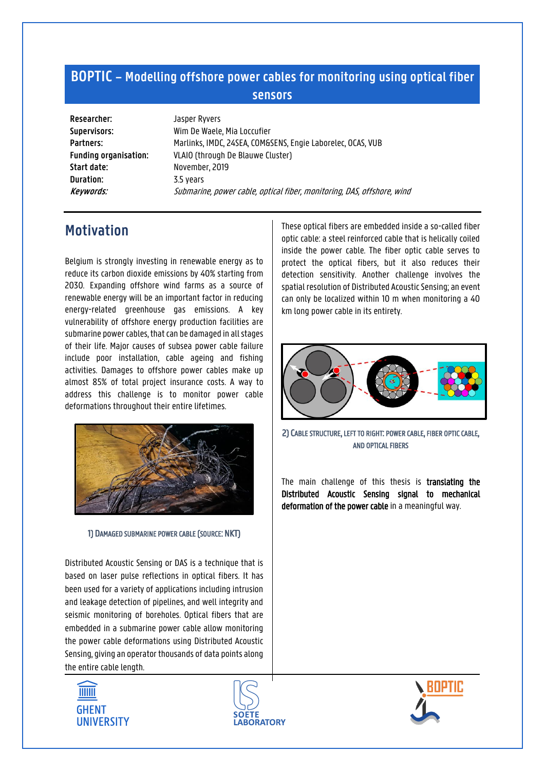## **BOPTIC – Modelling offshore power cables for monitoring using optical fiber sensors**

**Researcher:** Jasper Ryvers **Start date:** November, 2019 **Duration:** 3.5 years

**Supervisors:** Wim De Waele, Mia Loccufier Partners: Marlinks, IMDC, 24SEA, COM&SENS, Engie Laborelec, OCAS, VUB **Funding organisation:** VLAIO (through De Blauwe Cluster) **Keywords:** Submarine, power cable, optical fiber, monitoring, DAS, offshore, wind

# **Motivation**

Belgium is strongly investing in renewable energy as to reduce its carbon dioxide emissions by 40% starting from 2030. Expanding offshore wind farms as a source of renewable energy will be an important factor in reducing energy-related greenhouse gas emissions. A key vulnerability of offshore energy production facilities are submarine power cables, that can be damaged in all stages of their life. Major causes of subsea power cable failure include poor installation, cable ageing and fishing activities. Damages to offshore power cables make up almost 85% of total project insurance costs. A way to address this challenge is to monitor power cable deformations throughout their entire lifetimes.



1) DAMAGED SUBMARINE POWER CABLE (SOURCE: NKT)

Distributed Acoustic Sensing or DAS is a technique that is based on laser pulse reflections in optical fibers. It has been used for a variety of applications including intrusion and leakage detection of pipelines, and well integrity and seismic monitoring of boreholes. Optical fibers that are embedded in a submarine power cable allow monitoring the power cable deformations using Distributed Acoustic Sensing, giving an operator thousands of data points along the entire cable length.

These optical fibers are embedded inside a so-called fiber optic cable: a steel reinforced cable that is helically coiled inside the power cable. The fiber optic cable serves to protect the optical fibers, but it also reduces their detection sensitivity. Another challenge involves the spatial resolution of Distributed Acoustic Sensing; an event can only be localized within 10 m when monitoring a 40 km long power cable in its entirety.



2) CABLE STRUCTURE, LEFT TO RIGHT: POWER CABLE, FIBER OPTIC CABLE, AND OPTICAL FIBERS

The main challenge of this thesis is translating the Distributed Acoustic Sensing signal to mechanical deformation of the power cable in a meaningful way.